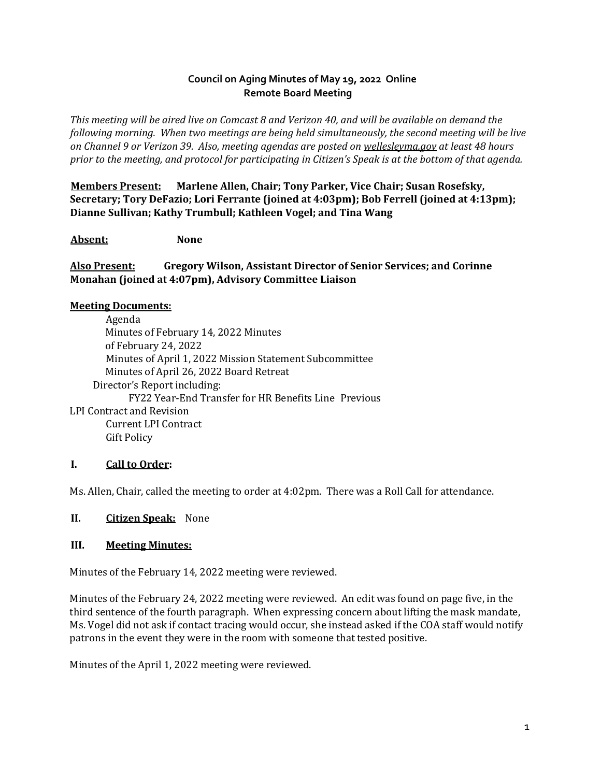## **Council on Aging Minutes of May 19, 2022 Online Remote Board Meeting**

*This meeting will be aired live on Comcast 8 and Verizon 40, and will be available on demand the following morning. When two meetings are being held simultaneously, the second meeting will be live on Channel 9 or Verizon 39. Also, meeting agendas are posted on [wellesleyma.gov](http://wellesleyma.gov/) at least 48 hours prior to the meeting, and protocol for participating in Citizen's Speak is at the bottom of that agenda.* 

**Members Present: Marlene Allen, Chair; Tony Parker, Vice Chair; Susan Rosefsky, Secretary; Tory DeFazio; Lori Ferrante (joined at 4:03pm); Bob Ferrell (joined at 4:13pm); Dianne Sullivan; Kathy Trumbull; Kathleen Vogel; and Tina Wang** 

**Absent: None** 

**Also Present: Gregory Wilson, Assistant Director of Senior Services; and Corinne Monahan (joined at 4:07pm), Advisory Committee Liaison** 

#### **Meeting Documents:**

Agenda Minutes of February 14, 2022 Minutes of February 24, 2022 Minutes of April 1, 2022 Mission Statement Subcommittee Minutes of April 26, 2022 Board Retreat Director's Report including: FY22 Year-End Transfer for HR Benefits Line Previous LPI Contract and Revision Current LPI Contract Gift Policy

## **I. Call to Order:**

Ms. Allen, Chair, called the meeting to order at 4:02pm. There was a Roll Call for attendance.

#### **II. Citizen Speak:** None

#### **III. Meeting Minutes:**

Minutes of the February 14, 2022 meeting were reviewed.

Minutes of the February 24, 2022 meeting were reviewed. An edit was found on page five, in the third sentence of the fourth paragraph. When expressing concern about lifting the mask mandate, Ms. Vogel did not ask if contact tracing would occur, she instead asked if the COA staff would notify patrons in the event they were in the room with someone that tested positive.

Minutes of the April 1, 2022 meeting were reviewed.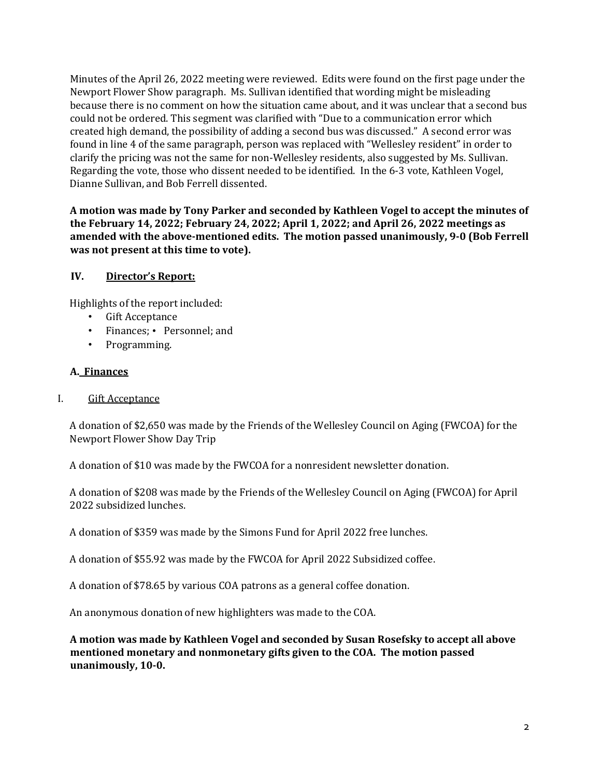Minutes of the April 26, 2022 meeting were reviewed. Edits were found on the first page under the Newport Flower Show paragraph. Ms. Sullivan identified that wording might be misleading because there is no comment on how the situation came about, and it was unclear that a second bus could not be ordered. This segment was clarified with "Due to a communication error which created high demand, the possibility of adding a second bus was discussed." A second error was found in line 4 of the same paragraph, person was replaced with "Wellesley resident" in order to clarify the pricing was not the same for non-Wellesley residents, also suggested by Ms. Sullivan. Regarding the vote, those who dissent needed to be identified. In the 6-3 vote, Kathleen Vogel, Dianne Sullivan, and Bob Ferrell dissented.

**A motion was made by Tony Parker and seconded by Kathleen Vogel to accept the minutes of the February 14, 2022; February 24, 2022; April 1, 2022; and April 26, 2022 meetings as amended with the above-mentioned edits. The motion passed unanimously, 9-0 (Bob Ferrell was not present at this time to vote).**

#### **IV. Director's Report:**

Highlights of the report included:

- Gift Acceptance
- Finances; Personnel; and
- Programming.

#### **A. Finances**

I. Gift Acceptance

A donation of \$2,650 was made by the Friends of the Wellesley Council on Aging (FWCOA) for the Newport Flower Show Day Trip

A donation of \$10 was made by the FWCOA for a nonresident newsletter donation.

A donation of \$208 was made by the Friends of the Wellesley Council on Aging (FWCOA) for April 2022 subsidized lunches.

A donation of \$359 was made by the Simons Fund for April 2022 free lunches.

A donation of \$55.92 was made by the FWCOA for April 2022 Subsidized coffee.

A donation of \$78.65 by various COA patrons as a general coffee donation.

An anonymous donation of new highlighters was made to the COA.

**A motion was made by Kathleen Vogel and seconded by Susan Rosefsky to accept all above mentioned monetary and nonmonetary gifts given to the COA. The motion passed unanimously, 10-0.**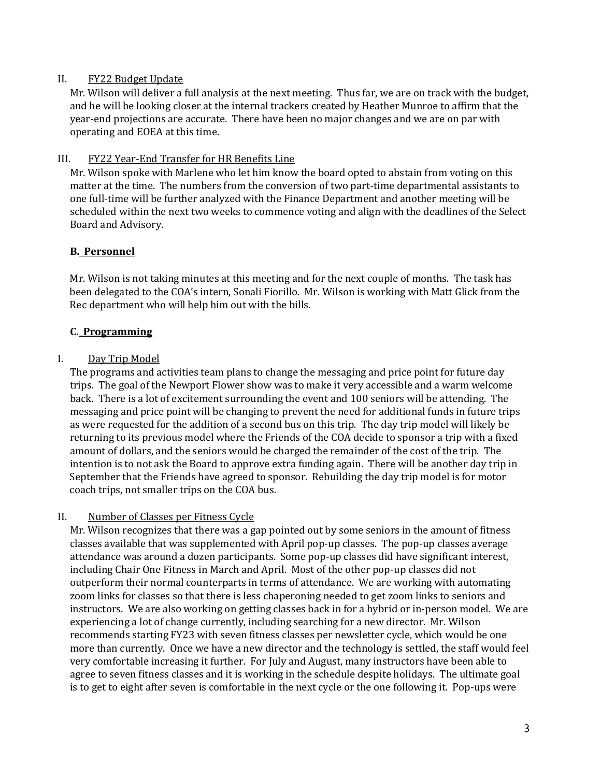#### II. FY22 Budget Update

Mr. Wilson will deliver a full analysis at the next meeting. Thus far, we are on track with the budget, and he will be looking closer at the internal trackers created by Heather Munroe to affirm that the year-end projections are accurate. There have been no major changes and we are on par with operating and EOEA at this time.

#### III. FY22 Year-End Transfer for HR Benefits Line

Mr. Wilson spoke with Marlene who let him know the board opted to abstain from voting on this matter at the time. The numbers from the conversion of two part-time departmental assistants to one full-time will be further analyzed with the Finance Department and another meeting will be scheduled within the next two weeks to commence voting and align with the deadlines of the Select Board and Advisory.

#### **B. Personnel**

Mr. Wilson is not taking minutes at this meeting and for the next couple of months. The task has been delegated to the COA's intern, Sonali Fiorillo. Mr. Wilson is working with Matt Glick from the Rec department who will help him out with the bills.

#### **C. Programming**

#### I. Day Trip Model

The programs and activities team plans to change the messaging and price point for future day trips. The goal of the Newport Flower show was to make it very accessible and a warm welcome back. There is a lot of excitement surrounding the event and 100 seniors will be attending. The messaging and price point will be changing to prevent the need for additional funds in future trips as were requested for the addition of a second bus on this trip. The day trip model will likely be returning to its previous model where the Friends of the COA decide to sponsor a trip with a fixed amount of dollars, and the seniors would be charged the remainder of the cost of the trip. The intention is to not ask the Board to approve extra funding again. There will be another day trip in September that the Friends have agreed to sponsor. Rebuilding the day trip model is for motor coach trips, not smaller trips on the COA bus.

#### II. Number of Classes per Fitness Cycle

Mr. Wilson recognizes that there was a gap pointed out by some seniors in the amount of fitness classes available that was supplemented with April pop-up classes. The pop-up classes average attendance was around a dozen participants. Some pop-up classes did have significant interest, including Chair One Fitness in March and April. Most of the other pop-up classes did not outperform their normal counterparts in terms of attendance. We are working with automating zoom links for classes so that there is less chaperoning needed to get zoom links to seniors and instructors. We are also working on getting classes back in for a hybrid or in-person model. We are experiencing a lot of change currently, including searching for a new director. Mr. Wilson recommends starting FY23 with seven fitness classes per newsletter cycle, which would be one more than currently. Once we have a new director and the technology is settled, the staff would feel very comfortable increasing it further. For July and August, many instructors have been able to agree to seven fitness classes and it is working in the schedule despite holidays. The ultimate goal is to get to eight after seven is comfortable in the next cycle or the one following it. Pop-ups were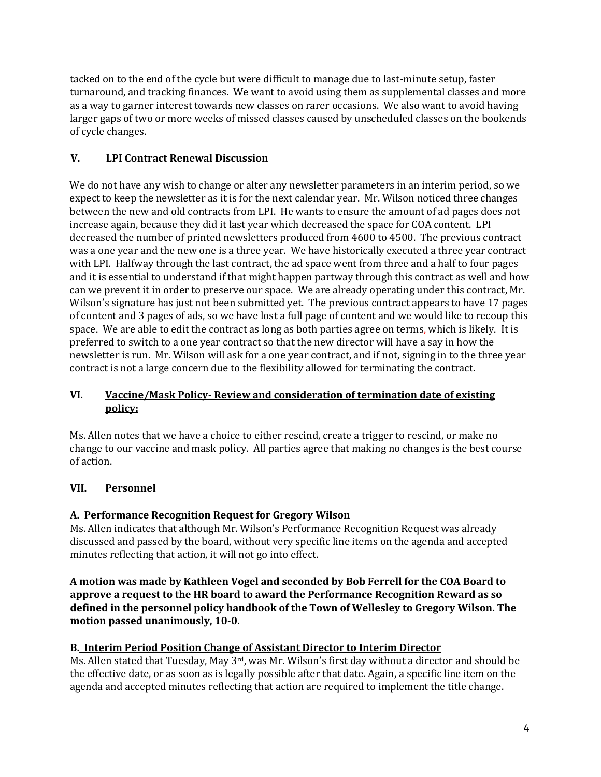tacked on to the end of the cycle but were difficult to manage due to last-minute setup, faster turnaround, and tracking finances. We want to avoid using them as supplemental classes and more as a way to garner interest towards new classes on rarer occasions. We also want to avoid having larger gaps of two or more weeks of missed classes caused by unscheduled classes on the bookends of cycle changes.

# **V. LPI Contract Renewal Discussion**

We do not have any wish to change or alter any newsletter parameters in an interim period, so we expect to keep the newsletter as it is for the next calendar year. Mr. Wilson noticed three changes between the new and old contracts from LPI. He wants to ensure the amount of ad pages does not increase again, because they did it last year which decreased the space for COA content. LPI decreased the number of printed newsletters produced from 4600 to 4500. The previous contract was a one year and the new one is a three year. We have historically executed a three year contract with LPI. Halfway through the last contract, the ad space went from three and a half to four pages and it is essential to understand if that might happen partway through this contract as well and how can we prevent it in order to preserve our space. We are already operating under this contract, Mr. Wilson's signature has just not been submitted yet. The previous contract appears to have 17 pages of content and 3 pages of ads, so we have lost a full page of content and we would like to recoup this space. We are able to edit the contract as long as both parties agree on terms, which is likely. It is preferred to switch to a one year contract so that the new director will have a say in how the newsletter is run. Mr. Wilson will ask for a one year contract, and if not, signing in to the three year contract is not a large concern due to the flexibility allowed for terminating the contract.

## **VI. Vaccine/Mask Policy- Review and consideration of termination date of existing policy:**

Ms. Allen notes that we have a choice to either rescind, create a trigger to rescind, or make no change to our vaccine and mask policy. All parties agree that making no changes is the best course of action.

# **VII. Personnel**

## **A. Performance Recognition Request for Gregory Wilson**

Ms. Allen indicates that although Mr. Wilson's Performance Recognition Request was already discussed and passed by the board, without very specific line items on the agenda and accepted minutes reflecting that action, it will not go into effect.

**A motion was made by Kathleen Vogel and seconded by Bob Ferrell for the COA Board to approve a request to the HR board to award the Performance Recognition Reward as so defined in the personnel policy handbook of the Town of Wellesley to Gregory Wilson. The motion passed unanimously, 10-0.** 

## **B. Interim Period Position Change of Assistant Director to Interim Director**

Ms. Allen stated that Tuesday, May  $3^{rd}$ , was Mr. Wilson's first day without a director and should be the effective date, or as soon as is legally possible after that date. Again, a specific line item on the agenda and accepted minutes reflecting that action are required to implement the title change.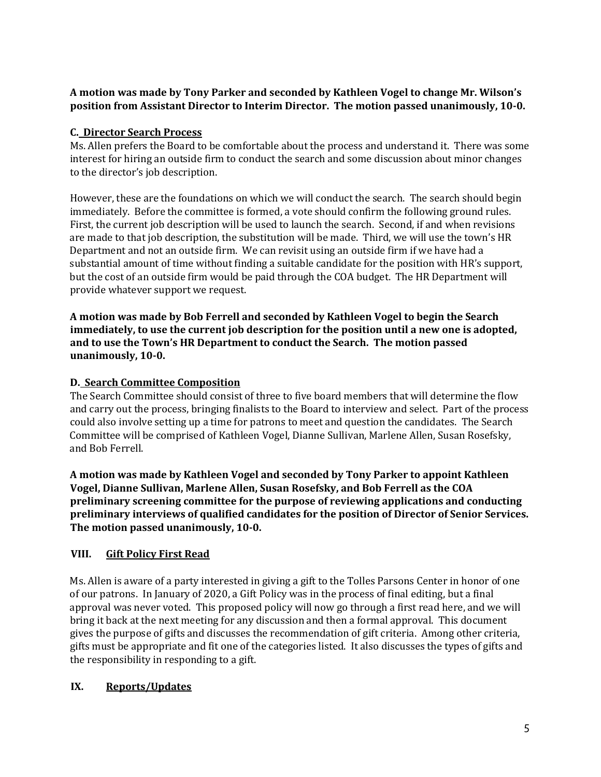# **A motion was made by Tony Parker and seconded by Kathleen Vogel to change Mr. Wilson's position from Assistant Director to Interim Director. The motion passed unanimously, 10-0.**

# **C. Director Search Process**

Ms. Allen prefers the Board to be comfortable about the process and understand it. There was some interest for hiring an outside firm to conduct the search and some discussion about minor changes to the director's job description.

However, these are the foundations on which we will conduct the search. The search should begin immediately. Before the committee is formed, a vote should confirm the following ground rules. First, the current job description will be used to launch the search. Second, if and when revisions are made to that job description, the substitution will be made. Third, we will use the town's HR Department and not an outside firm. We can revisit using an outside firm if we have had a substantial amount of time without finding a suitable candidate for the position with HR's support, but the cost of an outside firm would be paid through the COA budget. The HR Department will provide whatever support we request.

**A motion was made by Bob Ferrell and seconded by Kathleen Vogel to begin the Search immediately, to use the current job description for the position until a new one is adopted, and to use the Town's HR Department to conduct the Search. The motion passed unanimously, 10-0.** 

## **D. Search Committee Composition**

The Search Committee should consist of three to five board members that will determine the flow and carry out the process, bringing finalists to the Board to interview and select. Part of the process could also involve setting up a time for patrons to meet and question the candidates. The Search Committee will be comprised of Kathleen Vogel, Dianne Sullivan, Marlene Allen, Susan Rosefsky, and Bob Ferrell.

**A motion was made by Kathleen Vogel and seconded by Tony Parker to appoint Kathleen Vogel, Dianne Sullivan, Marlene Allen, Susan Rosefsky, and Bob Ferrell as the COA preliminary screening committee for the purpose of reviewing applications and conducting preliminary interviews of qualified candidates for the position of Director of Senior Services. The motion passed unanimously, 10-0.** 

# **VIII. Gift Policy First Read**

Ms. Allen is aware of a party interested in giving a gift to the Tolles Parsons Center in honor of one of our patrons. In January of 2020, a Gift Policy was in the process of final editing, but a final approval was never voted. This proposed policy will now go through a first read here, and we will bring it back at the next meeting for any discussion and then a formal approval. This document gives the purpose of gifts and discusses the recommendation of gift criteria. Among other criteria, gifts must be appropriate and fit one of the categories listed. It also discusses the types of gifts and the responsibility in responding to a gift.

## **IX. Reports/Updates**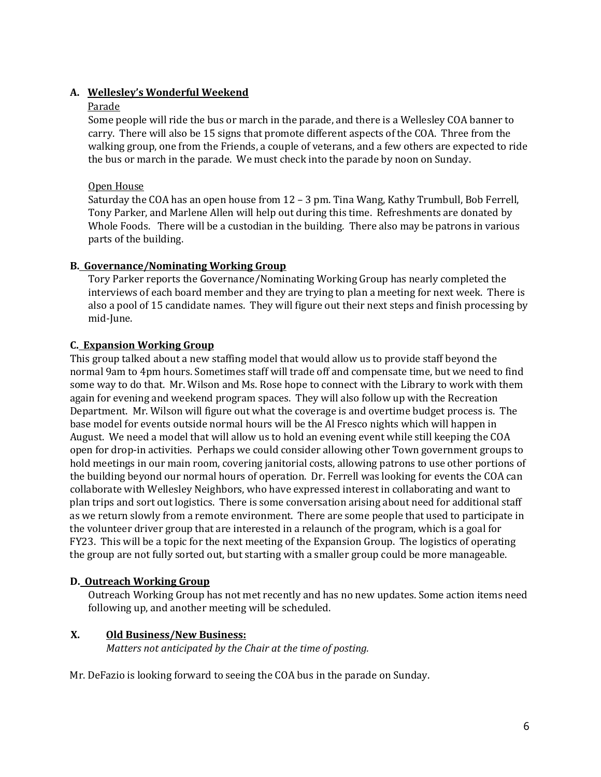# **A. Wellesley's Wonderful Weekend**

#### Parade

Some people will ride the bus or march in the parade, and there is a Wellesley COA banner to carry. There will also be 15 signs that promote different aspects of the COA. Three from the walking group, one from the Friends, a couple of veterans, and a few others are expected to ride the bus or march in the parade. We must check into the parade by noon on Sunday.

## Open House

Saturday the COA has an open house from 12 – 3 pm. Tina Wang, Kathy Trumbull, Bob Ferrell, Tony Parker, and Marlene Allen will help out during this time. Refreshments are donated by Whole Foods. There will be a custodian in the building. There also may be patrons in various parts of the building.

## **B. Governance/Nominating Working Group**

Tory Parker reports the Governance/Nominating Working Group has nearly completed the interviews of each board member and they are trying to plan a meeting for next week. There is also a pool of 15 candidate names. They will figure out their next steps and finish processing by mid-June.

## **C. Expansion Working Group**

This group talked about a new staffing model that would allow us to provide staff beyond the normal 9am to 4pm hours. Sometimes staff will trade off and compensate time, but we need to find some way to do that. Mr. Wilson and Ms. Rose hope to connect with the Library to work with them again for evening and weekend program spaces. They will also follow up with the Recreation Department. Mr. Wilson will figure out what the coverage is and overtime budget process is. The base model for events outside normal hours will be the Al Fresco nights which will happen in August. We need a model that will allow us to hold an evening event while still keeping the COA open for drop-in activities. Perhaps we could consider allowing other Town government groups to hold meetings in our main room, covering janitorial costs, allowing patrons to use other portions of the building beyond our normal hours of operation. Dr. Ferrell was looking for events the COA can collaborate with Wellesley Neighbors, who have expressed interest in collaborating and want to plan trips and sort out logistics. There is some conversation arising about need for additional staff as we return slowly from a remote environment. There are some people that used to participate in the volunteer driver group that are interested in a relaunch of the program, which is a goal for FY23. This will be a topic for the next meeting of the Expansion Group. The logistics of operating the group are not fully sorted out, but starting with a smaller group could be more manageable.

## **D. Outreach Working Group**

Outreach Working Group has not met recently and has no new updates. Some action items need following up, and another meeting will be scheduled.

## **X. Old Business/New Business:**

*Matters not anticipated by the Chair at the time of posting.* 

Mr. DeFazio is looking forward to seeing the COA bus in the parade on Sunday.